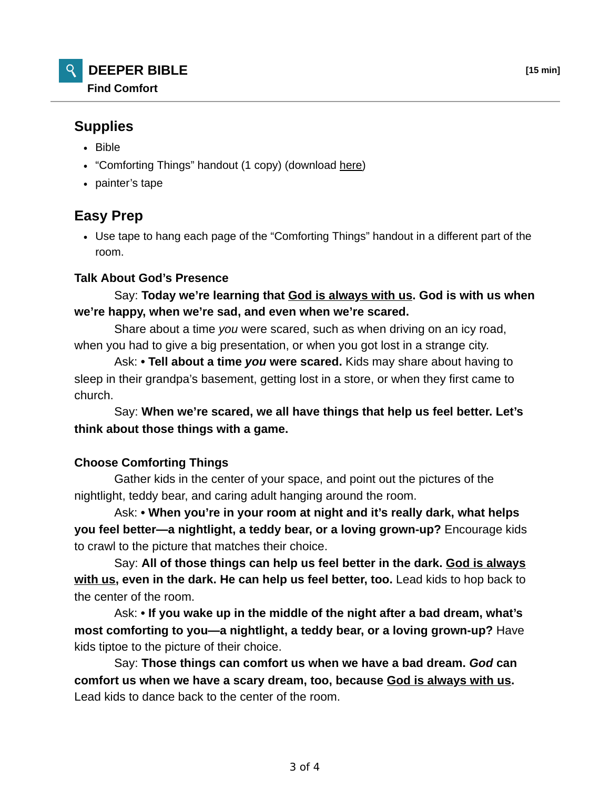## **Supplies**

- Bible
- "Comforting Things" handout (1 copy) (download here)
- painter's tape

# **Easy Prep**

Use tape to hang each page of the "Comforting Things" handout in a different part of the room.

#### **Talk About God's Presence**

### Say: **Today we're learning that God is always with us. God is with us when we're happy, when we're sad, and even when we're scared.**

 Share about a time *you* were scared, such as when driving on an icy road, when you had to give a big presentation, or when you got lost in a strange city.

 Ask: **• Tell about a time** *you* **were scared.** Kids may share about having to sleep in their grandpa's basement, getting lost in a store, or when they first came to church.

 Say: **When we're scared, we all have things that help us feel better. Let's think about those things with a game.**

#### **Choose Comforting Things**

 Gather kids in the center of your space, and point out the pictures of the nightlight, teddy bear, and caring adult hanging around the room.

 Ask: **• When you're in your room at night and it's really dark, what helps you feel better—a nightlight, a teddy bear, or a loving grown-up?** Encourage kids to crawl to the picture that matches their choice.

 Say: **All of those things can help us feel better in the dark. God is always with us, even in the dark. He can help us feel better, too.** Lead kids to hop back to the center of the room.

 Ask: **• If you wake up in the middle of the night after a bad dream, what's most comforting to you—a nightlight, a teddy bear, or a loving grown-up?** Have kids tiptoe to the picture of their choice.

 Say: **Those things can comfort us when we have a bad dream.** *God* **can comfort us when we have a scary dream, too, because God is always with us.** Lead kids to dance back to the center of the room.